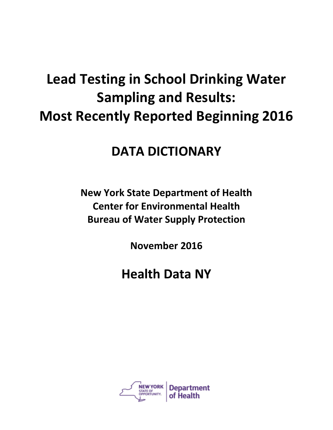## **Lead Testing in School Drinking Water Sampling and Results: Most Recently Reported Beginning 2016**

## **DATA DICTIONARY**

**New York State Department of Health Center for Environmental Health Bureau of Water Supply Protection**

**November 2016**

## **Health Data NY**